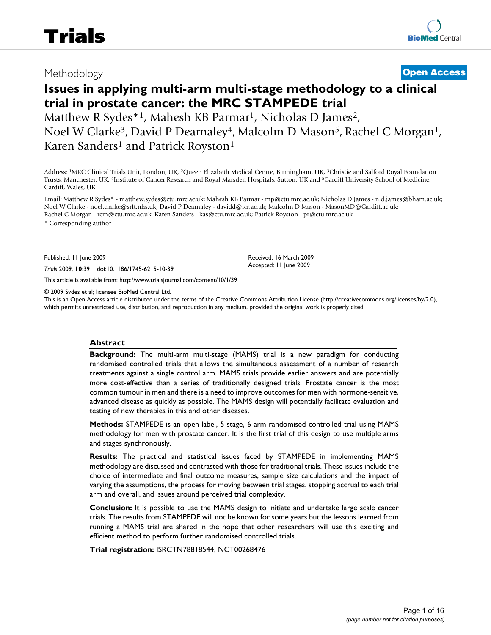# Methodology **[Open Access](http://www.biomedcentral.com/info/about/charter/)**

# **Issues in applying multi-arm multi-stage methodology to a clinical trial in prostate cancer: the MRC STAMPEDE trial**

Matthew R Sydes\*1, Mahesh KB Parmar<sup>1</sup>, Nicholas D James<sup>2</sup>, Noel W Clarke<sup>3</sup>, David P Dearnaley<sup>4</sup>, Malcolm D Mason<sup>5</sup>, Rachel C Morgan<sup>1</sup>, Karen Sanders<sup>1</sup> and Patrick Royston<sup>1</sup>

Address: 1MRC Clinical Trials Unit, London, UK, 2Queen Elizabeth Medical Centre, Birmingham, UK, 3Christie and Salford Royal Foundation Trusts, Manchester, UK, 4Institute of Cancer Research and Royal Marsden Hospitals, Sutton, UK and 5Cardiff University School of Medicine, Cardiff, Wales, UK

Email: Matthew R Sydes\* - matthew.sydes@ctu.mrc.ac.uk; Mahesh KB Parmar - mp@ctu.mrc.ac.uk; Nicholas D James - n.d.james@bham.ac.uk; Noel W Clarke - noel.clarke@srft.nhs.uk; David P Dearnaley - davidd@icr.ac.uk; Malcolm D Mason - MasonMD@Cardiff.ac.uk; Rachel C Morgan - rcm@ctu.mrc.ac.uk; Karen Sanders - kas@ctu.mrc.ac.uk; Patrick Royston - pr@ctu.mrc.ac.uk

> Received: 16 March 2009 Accepted: 11 June 2009

\* Corresponding author

Published: 11 June 2009

*Trials* 2009, **10**:39 doi:10.1186/1745-6215-10-39

[This article is available from: http://www.trialsjournal.com/content/10/1/39](http://www.trialsjournal.com/content/10/1/39)

© 2009 Sydes et al; licensee BioMed Central Ltd.

This is an Open Access article distributed under the terms of the Creative Commons Attribution License [\(http://creativecommons.org/licenses/by/2.0\)](http://creativecommons.org/licenses/by/2.0), which permits unrestricted use, distribution, and reproduction in any medium, provided the original work is properly cited.

### **Abstract**

**Background:** The multi-arm multi-stage (MAMS) trial is a new paradigm for conducting randomised controlled trials that allows the simultaneous assessment of a number of research treatments against a single control arm. MAMS trials provide earlier answers and are potentially more cost-effective than a series of traditionally designed trials. Prostate cancer is the most common tumour in men and there is a need to improve outcomes for men with hormone-sensitive, advanced disease as quickly as possible. The MAMS design will potentially facilitate evaluation and testing of new therapies in this and other diseases.

**Methods:** STAMPEDE is an open-label, 5-stage, 6-arm randomised controlled trial using MAMS methodology for men with prostate cancer. It is the first trial of this design to use multiple arms and stages synchronously.

**Results:** The practical and statistical issues faced by STAMPEDE in implementing MAMS methodology are discussed and contrasted with those for traditional trials. These issues include the choice of intermediate and final outcome measures, sample size calculations and the impact of varying the assumptions, the process for moving between trial stages, stopping accrual to each trial arm and overall, and issues around perceived trial complexity.

**Conclusion:** It is possible to use the MAMS design to initiate and undertake large scale cancer trials. The results from STAMPEDE will not be known for some years but the lessons learned from running a MAMS trial are shared in the hope that other researchers will use this exciting and efficient method to perform further randomised controlled trials.

**Trial registration:** ISRCTN78818544, NCT00268476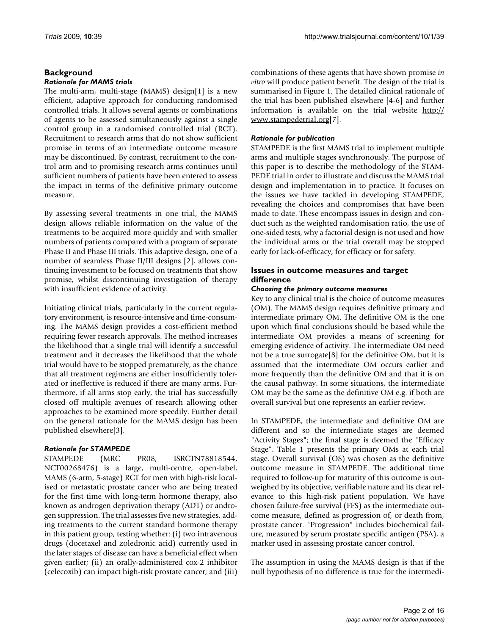### **Background**

### *Rationale for MAMS trials*

The multi-arm, multi-stage (MAMS) design[\[1\]](#page-14-0) is a new efficient, adaptive approach for conducting randomised controlled trials. It allows several agents or combinations of agents to be assessed simultaneously against a single control group in a randomised controlled trial (RCT). Recruitment to research arms that do not show sufficient promise in terms of an intermediate outcome measure may be discontinued. By contrast, recruitment to the control arm and to promising research arms continues until sufficient numbers of patients have been entered to assess the impact in terms of the definitive primary outcome measure.

By assessing several treatments in one trial, the MAMS design allows reliable information on the value of the treatments to be acquired more quickly and with smaller numbers of patients compared with a program of separate Phase II and Phase III trials. This adaptive design, one of a number of seamless Phase II/III designs [\[2\]](#page-14-1), allows continuing investment to be focused on treatments that show promise, whilst discontinuing investigation of therapy with insufficient evidence of activity.

Initiating clinical trials, particularly in the current regulatory environment, is resource-intensive and time-consuming. The MAMS design provides a cost-efficient method requiring fewer research approvals. The method increases the likelihood that a single trial will identify a successful treatment and it decreases the likelihood that the whole trial would have to be stopped prematurely, as the chance that all treatment regimens are either insufficiently tolerated or ineffective is reduced if there are many arms. Furthermore, if all arms stop early, the trial has successfully closed off multiple avenues of research allowing other approaches to be examined more speedily. Further detail on the general rationale for the MAMS design has been published elsewhere[\[3\]](#page-14-2).

### *Rationale for STAMPEDE*

STAMPEDE (MRC PR08, ISRCTN78818544, NCT00268476) is a large, multi-centre, open-label, MAMS (6-arm, 5-stage) RCT for men with high-risk localised or metastatic prostate cancer who are being treated for the first time with long-term hormone therapy, also known as androgen deprivation therapy (ADT) or androgen suppression. The trial assesses five new strategies, adding treatments to the current standard hormone therapy in this patient group, testing whether: (i) two intravenous drugs (docetaxel and zoledronic acid) currently used in the later stages of disease can have a beneficial effect when given earlier; (ii) an orally-administered cox-2 inhibitor (celecoxib) can impact high-risk prostate cancer; and (iii) combinations of these agents that have shown promise *in vitro* will produce patient benefit. The design of the trial is summarised in Figure [1.](#page-2-0) The detailed clinical rationale of the trial has been published elsewhere [\[4](#page-14-3)[-6\]](#page-14-4) and further information is available on the trial website [http://](http://www.stampedetrial.org) [www.stampedetrial.org](http://www.stampedetrial.org)[\[7\]](#page-14-5).

### *Rationale for publication*

STAMPEDE is the first MAMS trial to implement multiple arms and multiple stages synchronously. The purpose of this paper is to describe the methodology of the STAM-PEDE trial in order to illustrate and discuss the MAMS trial design and implementation in to practice. It focuses on the issues we have tackled in developing STAMPEDE, revealing the choices and compromises that have been made to date. These encompass issues in design and conduct such as the weighted randomisation ratio, the use of one-sided tests, why a factorial design is not used and how the individual arms or the trial overall may be stopped early for lack-of-efficacy, for efficacy or for safety.

### **Issues in outcome measures and target difference**

### *Choosing the primary outcome measures*

Key to any clinical trial is the choice of outcome measures (OM). The MAMS design requires definitive primary and intermediate primary OM. The definitive OM is the one upon which final conclusions should be based while the intermediate OM provides a means of screening for emerging evidence of activity. The intermediate OM need not be a true surrogate[[8](#page-14-6)] for the definitive OM, but it is assumed that the intermediate OM occurs earlier and more frequently than the definitive OM and that it is on the causal pathway. In some situations, the intermediate OM may be the same as the definitive OM e.g. if both are overall survival but one represents an earlier review.

In STAMPEDE, the intermediate and definitive OM are different and so the intermediate stages are deemed "Activity Stages"; the final stage is deemed the "Efficacy Stage". Table [1](#page-2-1) presents the primary OMs at each trial stage. Overall survival (OS) was chosen as the definitive outcome measure in STAMPEDE. The additional time required to follow-up for maturity of this outcome is outweighed by its objective, verifiable nature and its clear relevance to this high-risk patient population. We have chosen failure-free survival (FFS) as the intermediate outcome measure, defined as progression of, or death from, prostate cancer. "Progression" includes biochemical failure, measured by serum prostate specific antigen (PSA), a marker used in assessing prostate cancer control.

The assumption in using the MAMS design is that if the null hypothesis of no difference is true for the intermedi-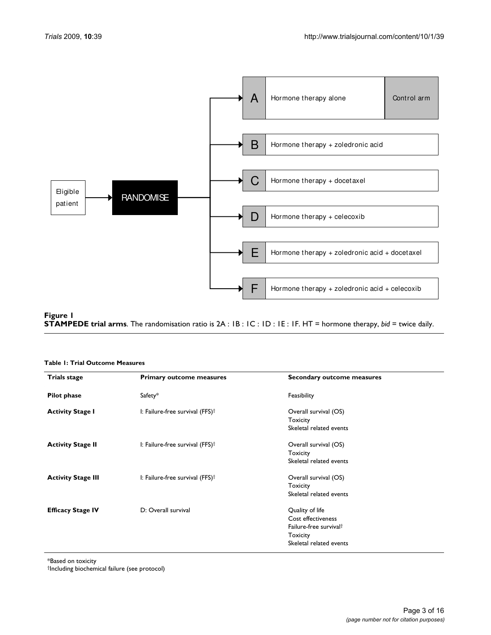<span id="page-2-0"></span>

### **Figure 1 STAMPEDE trial arms**. The randomisation ratio is 2A : 1B : 1C : 1D : 1E : 1F. HT = hormone therapy, *bid* = twice daily.

| <b>Trials stage</b>       | <b>Primary outcome measures</b>             | Secondary outcome measures         |  |
|---------------------------|---------------------------------------------|------------------------------------|--|
| <b>Pilot phase</b>        | Safety*                                     | Feasibility                        |  |
| <b>Activity Stage I</b>   | I: Failure-free survival (FFS) <sup>†</sup> | Overall survival (OS)              |  |
|                           |                                             | <b>Toxicity</b>                    |  |
|                           |                                             | Skeletal related events            |  |
| <b>Activity Stage II</b>  | I: Failure-free survival (FFS) <sup>†</sup> | Overall survival (OS)              |  |
|                           |                                             | <b>Toxicity</b>                    |  |
|                           |                                             | Skeletal related events            |  |
| <b>Activity Stage III</b> | I: Failure-free survival (FFS) <sup>†</sup> | Overall survival (OS)              |  |
|                           |                                             | <b>Toxicity</b>                    |  |
|                           |                                             | Skeletal related events            |  |
| <b>Efficacy Stage IV</b>  | D: Overall survival                         | Quality of life                    |  |
|                           |                                             | Cost effectiveness                 |  |
|                           |                                             | Failure-free survival <sup>†</sup> |  |
|                           |                                             | <b>Toxicity</b>                    |  |
|                           |                                             | Skeletal related events            |  |
|                           |                                             |                                    |  |

### <span id="page-2-1"></span>**Table 1: Trial Outcome Measures**

\*Based on toxicity

†Including biochemical failure (see protocol)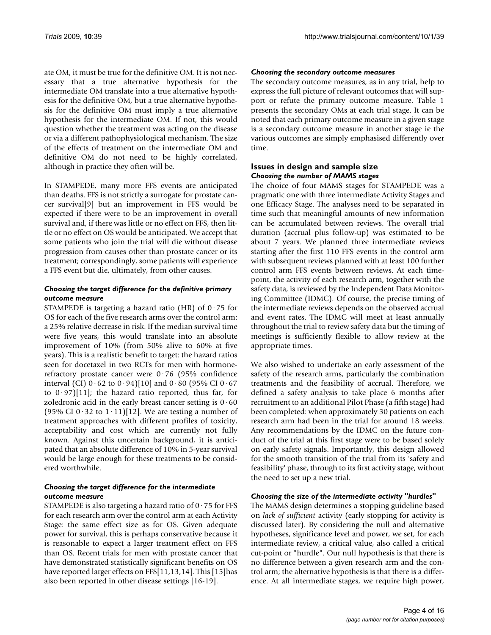ate OM, it must be true for the definitive OM. It is not necessary that a true alternative hypothesis for the intermediate OM translate into a true alternative hypothesis for the definitive OM, but a true alternative hypothesis for the definitive OM must imply a true alternative hypothesis for the intermediate OM. If not, this would question whether the treatment was acting on the disease or via a different pathophysiological mechanism. The size of the effects of treatment on the intermediate OM and definitive OM do not need to be highly correlated, although in practice they often will be.

In STAMPEDE, many more FFS events are anticipated than deaths. FFS is not strictly a surrogate for prostate cancer survival[\[9\]](#page-14-7) but an improvement in FFS would be expected if there were to be an improvement in overall survival and, if there was little or no effect on FFS, then little or no effect on OS would be anticipated. We accept that some patients who join the trial will die without disease progression from causes other than prostate cancer or its treatment; correspondingly, some patients will experience a FFS event but die, ultimately, from other causes.

### *Choosing the target difference for the definitive primary outcome measure*

STAMPEDE is targeting a hazard ratio (HR) of  $0.75$  for OS for each of the five research arms over the control arm: a 25% relative decrease in risk. If the median survival time were five years, this would translate into an absolute improvement of 10% (from 50% alive to 60% at five years). This is a realistic benefit to target: the hazard ratios seen for docetaxel in two RCTs for men with hormonerefractory prostate cancer were 0·76 (95% confidence interval (CI)  $0.62$  to  $0.94$ ][\[10](#page-14-8)] and  $0.80$  (95% CI  $0.67$ to  $0.97$ ][\[11\]](#page-14-9); the hazard ratio reported, thus far, for zoledronic acid in the early breast cancer setting is  $0.60$ (95% CI  $0.32$  to  $1.11$ )[\[12\]](#page-14-10). We are testing a number of treatment approaches with different profiles of toxicity, acceptability and cost which are currently not fully known. Against this uncertain background, it is anticipated that an absolute difference of 10% in 5-year survival would be large enough for these treatments to be considered worthwhile.

### *Choosing the target difference for the intermediate outcome measure*

STAMPEDE is also targeting a hazard ratio of  $0.75$  for FFS for each research arm over the control arm at each Activity Stage: the same effect size as for OS. Given adequate power for survival, this is perhaps conservative because it is reasonable to expect a larger treatment effect on FFS than OS. Recent trials for men with prostate cancer that have demonstrated statistically significant benefits on OS have reported larger effects on FFS[\[11](#page-14-9),[13](#page-14-11),[14\]](#page-14-12). This [[15](#page-14-13)]has also been reported in other disease settings [\[16](#page-14-14)[-19](#page-14-15)].

### *Choosing the secondary outcome measures*

The secondary outcome measures, as in any trial, help to express the full picture of relevant outcomes that will support or refute the primary outcome measure. Table [1](#page-2-1) presents the secondary OMs at each trial stage. It can be noted that each primary outcome measure in a given stage is a secondary outcome measure in another stage ie the various outcomes are simply emphasised differently over time.

### **Issues in design and sample size** *Choosing the number of MAMS stages*

The choice of four MAMS stages for STAMPEDE was a pragmatic one with three intermediate Activity Stages and one Efficacy Stage. The analyses need to be separated in time such that meaningful amounts of new information can be accumulated between reviews. The overall trial duration (accrual plus follow-up) was estimated to be about 7 years. We planned three intermediate reviews starting after the first 110 FFS events in the control arm with subsequent reviews planned with at least 100 further control arm FFS events between reviews. At each timepoint, the activity of each research arm, together with the safety data, is reviewed by the Independent Data Monitoring Committee (IDMC). Of course, the precise timing of the intermediate reviews depends on the observed accrual and event rates. The IDMC will meet at least annually throughout the trial to review safety data but the timing of meetings is sufficiently flexible to allow review at the appropriate times.

We also wished to undertake an early assessment of the safety of the research arms, particularly the combination treatments and the feasibility of accrual. Therefore, we defined a safety analysis to take place 6 months after recruitment to an additional Pilot Phase (a fifth stage) had been completed: when approximately 30 patients on each research arm had been in the trial for around 18 weeks. Any recommendations by the IDMC on the future conduct of the trial at this first stage were to be based solely on early safety signals. Importantly, this design allowed for the smooth transition of the trial from its 'safety and feasibility' phase, through to its first activity stage, without the need to set up a new trial.

### *Choosing the size of the intermediate activity "hurdles"*

The MAMS design determines a stopping guideline based on *lack of sufficient* activity (early stopping for activity is discussed later). By considering the null and alternative hypotheses, significance level and power, we set, for each intermediate review, a critical value, also called a critical cut-point or "hurdle". Our null hypothesis is that there is no difference between a given research arm and the control arm; the alternative hypothesis is that there is a difference. At all intermediate stages, we require high power,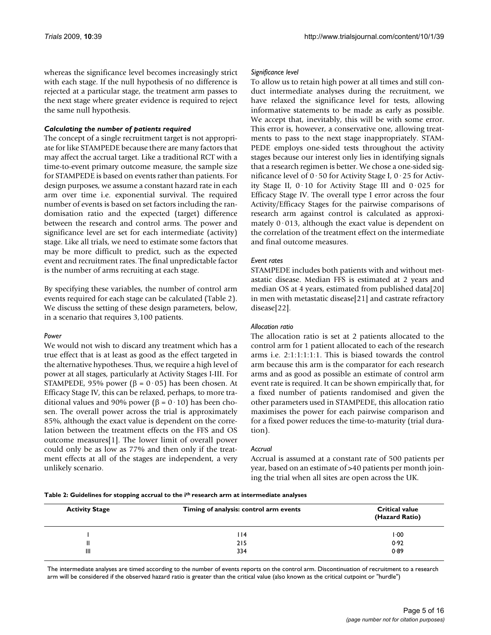whereas the significance level becomes increasingly strict with each stage. If the null hypothesis of no difference is rejected at a particular stage, the treatment arm passes to the next stage where greater evidence is required to reject the same null hypothesis.

### *Calculating the number of patients required*

The concept of a single recruitment target is not appropriate for like STAMPEDE because there are many factors that may affect the accrual target. Like a traditional RCT with a time-to-event primary outcome measure, the sample size for STAMPEDE is based on events rather than patients. For design purposes, we assume a constant hazard rate in each arm over time i.e. exponential survival. The required number of events is based on set factors including the randomisation ratio and the expected (target) difference between the research and control arms. The power and significance level are set for each intermediate (activity) stage. Like all trials, we need to estimate some factors that may be more difficult to predict, such as the expected event and recruitment rates. The final unpredictable factor is the number of arms recruiting at each stage.

By specifying these variables, the number of control arm events required for each stage can be calculated (Table [2\)](#page-4-0). We discuss the setting of these design parameters, below, in a scenario that requires 3,100 patients.

### *Power*

We would not wish to discard any treatment which has a true effect that is at least as good as the effect targeted in the alternative hypotheses. Thus, we require a high level of power at all stages, particularly at Activity Stages I-III. For STAMPEDE, 95% power ( $β = 0.05$ ) has been chosen. At Efficacy Stage IV, this can be relaxed, perhaps, to more traditional values and 90% power ( $β = 0.10$ ) has been chosen. The overall power across the trial is approximately 85%, although the exact value is dependent on the correlation between the treatment effects on the FFS and OS outcome measures[\[1\]](#page-14-0). The lower limit of overall power could only be as low as 77% and then only if the treatment effects at all of the stages are independent, a very unlikely scenario.

### *Significance level*

To allow us to retain high power at all times and still conduct intermediate analyses during the recruitment, we have relaxed the significance level for tests, allowing informative statements to be made as early as possible. We accept that, inevitably, this will be with some error. This error is, however, a conservative one, allowing treatments to pass to the next stage inappropriately. STAM-PEDE employs one-sided tests throughout the activity stages because our interest only lies in identifying signals that a research regimen is better. We chose a one-sided significance level of  $0.50$  for Activity Stage I,  $0.25$  for Activity Stage II,  $0.10$  for Activity Stage III and  $0.025$  for Efficacy Stage IV. The overall type I error across the four Activity/Efficacy Stages for the pairwise comparisons of research arm against control is calculated as approximately  $0.013$ , although the exact value is dependent on the correlation of the treatment effect on the intermediate and final outcome measures.

### *Event rates*

STAMPEDE includes both patients with and without metastatic disease. Median FFS is estimated at 2 years and median OS at 4 years, estimated from published data[[20\]](#page-14-16) in men with metastatic disease[\[21\]](#page-14-17) and castrate refractory disease[\[22](#page-14-18)].

### *Allocation ratio*

The allocation ratio is set at 2 patients allocated to the control arm for 1 patient allocated to each of the research arms i.e. 2:1:1:1:1:1. This is biased towards the control arm because this arm is the comparator for each research arms and as good as possible an estimate of control arm event rate is required. It can be shown empirically that, for a fixed number of patients randomised and given the other parameters used in STAMPEDE, this allocation ratio maximises the power for each pairwise comparison and for a fixed power reduces the time-to-maturity (trial duration).

### *Accrual*

Accrual is assumed at a constant rate of 500 patients per year, based on an estimate of >40 patients per month joining the trial when all sites are open across the UK.

<span id="page-4-0"></span>**Table 2: Guidelines for stopping accrual to the ith research arm at intermediate analyses**

| <b>Activity Stage</b> | Timing of analysis: control arm events | <b>Critical value</b><br>(Hazard Ratio) |
|-----------------------|----------------------------------------|-----------------------------------------|
|                       | ۱۱4                                    | 1.00                                    |
| Ш                     | 215                                    | 0.92                                    |
| Ш                     | 334                                    | 0.89                                    |

The intermediate analyses are timed according to the number of events reports on the control arm. Discontinuation of recruitment to a research arm will be considered if the observed hazard ratio is greater than the critical value (also known as the critical cutpoint or "hurdle")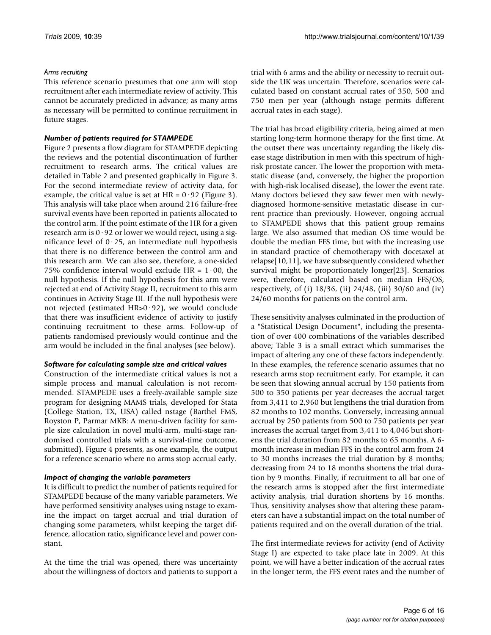### *Arms recruiting*

This reference scenario presumes that one arm will stop recruitment after each intermediate review of activity. This cannot be accurately predicted in advance; as many arms as necessary will be permitted to continue recruitment in future stages.

### *Number of patients required for STAMPEDE*

Figure [2](#page-6-0) presents a flow diagram for STAMPEDE depicting the reviews and the potential discontinuation of further recruitment to research arms. The critical values are detailed in Table [2](#page-4-0) and presented graphically in Figure [3.](#page-7-0) For the second intermediate review of activity data, for example, the critical value is set at HR =  $0.92$  (Figure [3\)](#page-7-0). This analysis will take place when around 216 failure-free survival events have been reported in patients allocated to the control arm. If the point estimate of the HR for a given research arm is  $0.92$  or lower we would reject, using a significance level of  $0.25$ , an intermediate null hypothesis that there is no difference between the control arm and this research arm. We can also see, therefore, a one-sided 75% confidence interval would exclude HR =  $1 \cdot 00$ , the null hypothesis. If the null hypothesis for this arm were rejected at end of Activity Stage II, recruitment to this arm continues in Activity Stage III. If the null hypothesis were not rejected (estimated HR $>0.92$ ), we would conclude that there was insufficient evidence of activity to justify continuing recruitment to these arms. Follow-up of patients randomised previously would continue and the arm would be included in the final analyses (see below).

### *Software for calculating sample size and critical values*

Construction of the intermediate critical values is not a simple process and manual calculation is not recommended. STAMPEDE uses a freely-available sample size program for designing MAMS trials, developed for Stata (College Station, TX, USA) called nstage (Barthel FMS, Royston P, Parmar MKB: A menu-driven facility for sample size calculation in novel multi-arm, multi-stage randomised controlled trials with a survival-time outcome, submitted). Figure [4](#page-8-0) presents, as one example, the output for a reference scenario where no arms stop accrual early.

### *Impact of changing the variable parameters*

It is difficult to predict the number of patients required for STAMPEDE because of the many variable parameters. We have performed sensitivity analyses using nstage to examine the impact on target accrual and trial duration of changing some parameters, whilst keeping the target difference, allocation ratio, significance level and power constant.

At the time the trial was opened, there was uncertainty about the willingness of doctors and patients to support a trial with 6 arms and the ability or necessity to recruit outside the UK was uncertain. Therefore, scenarios were calculated based on constant accrual rates of 350, 500 and 750 men per year (although nstage permits different accrual rates in each stage).

The trial has broad eligibility criteria, being aimed at men starting long-term hormone therapy for the first time. At the outset there was uncertainty regarding the likely disease stage distribution in men with this spectrum of highrisk prostate cancer. The lower the proportion with metastatic disease (and, conversely, the higher the proportion with high-risk localised disease), the lower the event rate. Many doctors believed they saw fewer men with newlydiagnosed hormone-sensitive metastatic disease in current practice than previously. However, ongoing accrual to STAMPEDE shows that this patient group remains large. We also assumed that median OS time would be double the median FFS time, but with the increasing use in standard practice of chemotherapy with docetaxel at relapse[[10,](#page-14-8)[11](#page-14-9)], we have subsequently considered whether survival might be proportionately longer[[23](#page-14-19)]. Scenarios were, therefore, calculated based on median FFS/OS, respectively, of (i) 18/36, (ii) 24/48, (iii) 30/60 and (iv) 24/60 months for patients on the control arm.

These sensitivity analyses culminated in the production of a "Statistical Design Document", including the presentation of over 400 combinations of the variables described above; Table [3](#page-9-0) is a small extract which summarises the impact of altering any one of these factors independently. In these examples, the reference scenario assumes that no research arms stop recruitment early. For example, it can be seen that slowing annual accrual by 150 patients from 500 to 350 patients per year decreases the accrual target from 3,411 to 2,960 but lengthens the trial duration from 82 months to 102 months. Conversely, increasing annual accrual by 250 patients from 500 to 750 patients per year increases the accrual target from 3,411 to 4,046 but shortens the trial duration from 82 months to 65 months. A 6 month increase in median FFS in the control arm from 24 to 30 months increases the trial duration by 8 months; decreasing from 24 to 18 months shortens the trial duration by 9 months. Finally, if recruitment to all bar one of the research arms is stopped after the first intermediate activity analysis, trial duration shortens by 16 months. Thus, sensitivity analyses show that altering these parameters can have a substantial impact on the total number of patients required and on the overall duration of the trial.

The first intermediate reviews for activity (end of Activity Stage I) are expected to take place late in 2009. At this point, we will have a better indication of the accrual rates in the longer term, the FFS event rates and the number of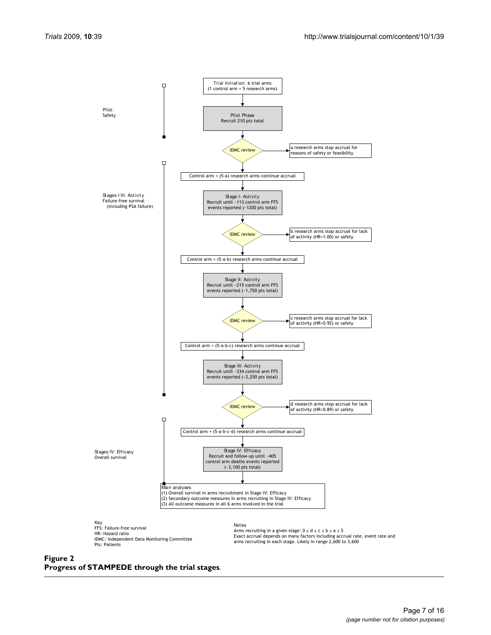<span id="page-6-0"></span>

### **Figure 2 Progress of STAMPEDE through the trial stages**.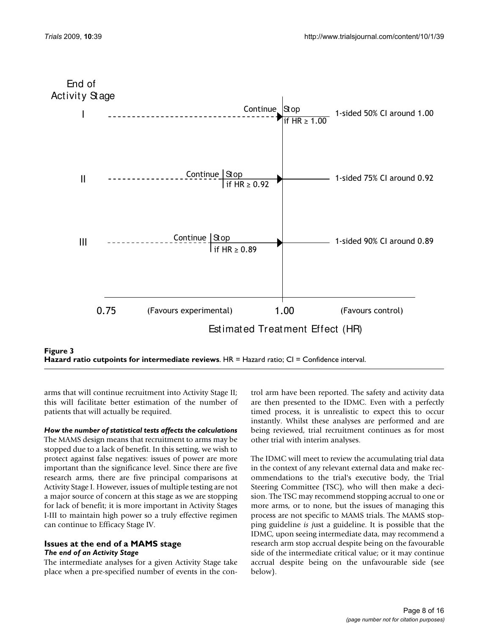<span id="page-7-0"></span>

**Hazard ratio cutpoints for intermediate reviews**. HR = Hazard ratio; CI = Confidence interval.

arms that will continue recruitment into Activity Stage II; this will facilitate better estimation of the number of patients that will actually be required.

### *How the number of statistical tests affects the calculations*

The MAMS design means that recruitment to arms may be stopped due to a lack of benefit. In this setting, we wish to protect against false negatives: issues of power are more important than the significance level. Since there are five research arms, there are five principal comparisons at Activity Stage I. However, issues of multiple testing are not a major source of concern at this stage as we are stopping for lack of benefit; it is more important in Activity Stages I-III to maintain high power so a truly effective regimen can continue to Efficacy Stage IV.

### **Issues at the end of a MAMS stage** *The end of an Activity Stage*

The intermediate analyses for a given Activity Stage take place when a pre-specified number of events in the control arm have been reported. The safety and activity data are then presented to the IDMC. Even with a perfectly timed process, it is unrealistic to expect this to occur instantly. Whilst these analyses are performed and are being reviewed, trial recruitment continues as for most other trial with interim analyses.

The IDMC will meet to review the accumulating trial data in the context of any relevant external data and make recommendations to the trial's executive body, the Trial Steering Committee (TSC), who will then make a decision. The TSC may recommend stopping accrual to one or more arms, or to none, but the issues of managing this process are not specific to MAMS trials. The MAMS stopping guideline *is j*ust a guideline. It is possible that the IDMC, upon seeing intermediate data, may recommend a research arm stop accrual despite being on the favourable side of the intermediate critical value; or it may continue accrual despite being on the unfavourable side (see below).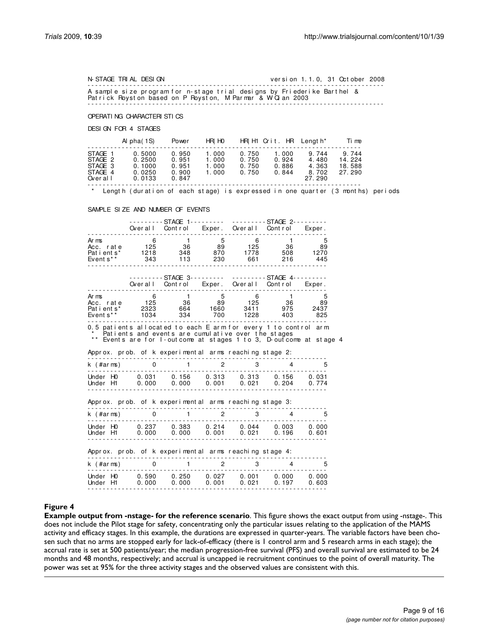<span id="page-8-0"></span>N- STAGE TRI AL DESI GN ver si on 1. 1. 0, 31 Oct ober 2008 ------------------------------------------------------------------------------ A sampl e si ze pr ogr am f or n- st age t r i al desi gns by Fr i eder i ke Bar t hel & Pat r i ck Royst on based on P Royst on, M Par mar & W Qi an 2003 ------------------------------------------------------------------------------

### OPERATI NG CHARACTERI STI CS

DESI GN FOR 4 STAGES

| 0.5000<br>1.000<br>0.950<br>0.750<br>1.000<br>9.744<br>9.744<br>1.000<br>0.750<br>0.924<br>14.224<br>0.2500<br>0.951<br>4.480<br>0.1000<br>1.000<br>0.750<br>4.363<br>18.588<br>0.951<br>0.886<br>1.000<br>0.750<br>0.0250<br>0.900<br>27, 290<br>0.844<br>8.702<br>0.0133<br>0.847<br>27, 290 |                                                    | Al pha(1S) | Power | $HR HO$ HR $ H $ Orit. HR Length* |  | Time |
|------------------------------------------------------------------------------------------------------------------------------------------------------------------------------------------------------------------------------------------------------------------------------------------------|----------------------------------------------------|------------|-------|-----------------------------------|--|------|
|                                                                                                                                                                                                                                                                                                | STAGE 1<br>STAGE 2<br>STAGE 3<br>STAGE 4<br>Qveral |            |       |                                   |  |      |

------------------------------------------------------------------------ \* Lengt h ( dur at i on of each st age) i s expr essed i n one quar t er ( 3 mont hs) per i ods

#### SAMPLE SI ZE AND NUMBER OF EVENTS

|                                                                                                                                                                                                                                                                          |   |   | . STAGE 1- STAGE 2-<br>Overall Control Exper. Overall Control Exper. |                                                                    |  |
|--------------------------------------------------------------------------------------------------------------------------------------------------------------------------------------------------------------------------------------------------------------------------|---|---|----------------------------------------------------------------------|--------------------------------------------------------------------|--|
| Arms 6 1 5 6 1 5<br>Acc.rate 125 36 89 125 36 89<br>Patients* 1218 348 870 1778 508 1270<br>Events* 1218 348 870 1778 508 1270<br>Events* 343 113 230 661 216 445                                                                                                        |   |   |                                                                      |                                                                    |  |
|                                                                                                                                                                                                                                                                          |   |   | Overall Control Exper. Overall Control Exper.                        |                                                                    |  |
| 47 ms<br>Acc. rate $\begin{array}{cccccc} 6 & 1 & 5 & 6 & 1 & 5 \\ 4 \text{c.} & \text{rate} & 125 & 36 & 89 & 125 & 36 & 89 \\ \text{Path}{\text{ent}} & 2323 & 664 & 1660 & 3411 & 975 & 2437 \\ \text{Events}^{**} & 1034 & 334 & 700 & 1228 & 403 & 825 \end{array}$ |   |   |                                                                      |                                                                    |  |
| 0.5 patients allocated to each E arm for every 1 to control arm<br>* Patients and events are cumulative over the stages                                                                                                                                                  |   |   |                                                                      | ** Events are for I-outcome at stages 1 to 3, D-outcome at stage 4 |  |
| Approx. prob. of k experimental arms reaching stage 2:                                                                                                                                                                                                                   |   |   |                                                                      |                                                                    |  |
| k (#arms) 0 1 2 3 4                                                                                                                                                                                                                                                      |   | . |                                                                      | $5^{\circ}$                                                        |  |
| Under H0 0.031 0.156 0.313 0.313 0.156 0.031<br>Under H1 $0.000$ $0.000$ $0.001$ $0.021$ $0.204$ $0.774$                                                                                                                                                                 |   |   |                                                                      |                                                                    |  |
| Approx. prob. of k experimental arms reaching stage 3:                                                                                                                                                                                                                   |   |   |                                                                      |                                                                    |  |
| k (#arms) 0 1 2 3 4 5                                                                                                                                                                                                                                                    |   |   |                                                                      |                                                                    |  |
| Under H0  0.237  0.383  0.214  0.044  0.003  0.000<br>Under H1  0.000  0.000  0.001  0.021  0.196  0.601                                                                                                                                                                 |   |   |                                                                      |                                                                    |  |
| Approx. prob. of k experimental arms reaching stage 4:                                                                                                                                                                                                                   |   |   |                                                                      |                                                                    |  |
| $k$ (#arms) 0 1 2 3 4                                                                                                                                                                                                                                                    |   |   |                                                                      | 5                                                                  |  |
| Under H0  0.590  0.250  0.027  0.001  0.000  0.000                                                                                                                                                                                                                       | . |   |                                                                      |                                                                    |  |
|                                                                                                                                                                                                                                                                          |   |   |                                                                      |                                                                    |  |

### **Figure 4**

**Example output from -nstage- for the reference scenario**. This figure shows the exact output from using -nstage-. This does not include the Pilot stage for safety, concentrating only the particular issues relating to the application of the MAMS activity and efficacy stages. In this example, the durations are expressed in quarter-years. The variable factors have been chosen such that no arms are stopped early for lack-of-efficacy (there is 1 control arm and 5 research arms in each stage); the accrual rate is set at 500 patients/year; the median progression-free survival (PFS) and overall survival are estimated to be 24 months and 48 months, respectively; and accrual is uncapped ie recruitment continues to the point of overall maturity. The power was set at 95% for the three activity stages and the observed values are consistent with this.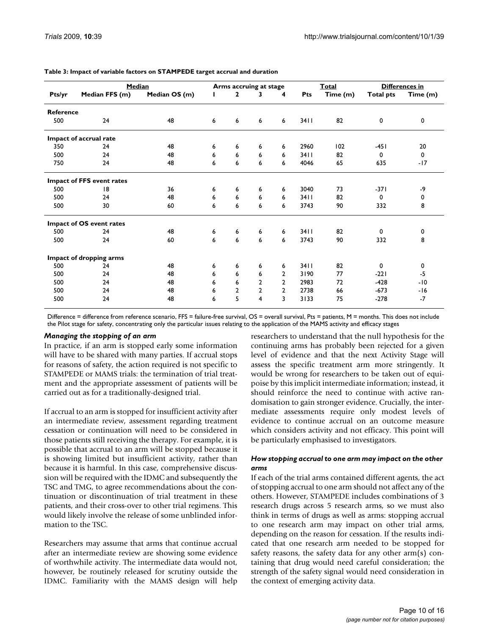|                  | Median                           |               |    | Arms accruing at stage |                         |                |      | <b>Total</b> |                  | <b>Differences in</b> |
|------------------|----------------------------------|---------------|----|------------------------|-------------------------|----------------|------|--------------|------------------|-----------------------|
| Pts/yr           | Median FFS (m)                   | Median OS (m) | I. | $\mathbf{2}$           | 3                       | 4              | Pts  | Time (m)     | <b>Total pts</b> | Time (m)              |
| <b>Reference</b> |                                  |               |    |                        |                         |                |      |              |                  |                       |
| 500              | 24                               | 48            | 6  | 6                      | 6                       | 6              | 3411 | 82           | $\mathbf 0$      | 0                     |
|                  | Impact of accrual rate           |               |    |                        |                         |                |      |              |                  |                       |
| 350              | 24                               | 48            | 6  | 6                      | 6                       | 6              | 2960 | 102          | $-451$           | 20                    |
| 500              | 24                               | 48            | 6  | 6                      | 6                       | 6              | 3411 | 82           | $\Omega$         | 0                     |
| 750              | 24                               | 48            | 6  | 6                      | 6                       | 6              | 4046 | 65           | 635              | $-17$                 |
|                  | <b>Impact of FFS event rates</b> |               |    |                        |                         |                |      |              |                  |                       |
| 500              | 8                                | 36            | 6  | 6                      | 6                       | 6              | 3040 | 73           | $-371$           | -9                    |
| 500              | 24                               | 48            | 6  | 6                      | 6                       | 6              | 3411 | 82           | $\mathbf 0$      | 0                     |
| 500              | 30                               | 60            | 6  | 6                      | 6                       | 6              | 3743 | 90           | 332              | 8                     |
|                  | Impact of OS event rates         |               |    |                        |                         |                |      |              |                  |                       |
| 500              | 24                               | 48            | 6  | 6                      | 6                       | 6              | 3411 | 82           | 0                | 0                     |
| 500              | 24                               | 60            | 6  | 6                      | 6                       | 6              | 3743 | 90           | 332              | 8                     |
|                  | Impact of dropping arms          |               |    |                        |                         |                |      |              |                  |                       |
| 500              | 24                               | 48            | 6  | 6                      | 6                       | 6              | 3411 | 82           | $\Omega$         | 0                     |
| 500              | 24                               | 48            | 6  | 6                      | 6                       | $\overline{2}$ | 3190 | 77           | $-221$           | $-5$                  |
| 500              | 24                               | 48            | 6  | 6                      | $\overline{2}$          | $\mathbf{2}$   | 2983 | 72           | $-428$           | $-10$                 |
| 500              | 24                               | 48            | 6  | $\overline{2}$         | $\overline{\mathbf{c}}$ | $\overline{2}$ | 2738 | 66           | $-673$           | -16                   |
| 500              | 24                               | 48            | 6  | 5                      | $\overline{4}$          | 3              | 3133 | 75           | $-278$           | $-7$                  |

<span id="page-9-0"></span>**Table 3: Impact of variable factors on STAMPEDE target accrual and duration**

Difference = difference from reference scenario, FFS = failure-free survival, OS = overall survival, Pts = patients, M = months. This does not include the Pilot stage for safety, concentrating only the particular issues relating to the application of the MAMS activity and efficacy stages

### *Managing the stopping of an arm*

In practice, if an arm is stopped early some information will have to be shared with many parties. If accrual stops for reasons of safety, the action required is not specific to STAMPEDE or MAMS trials: the termination of trial treatment and the appropriate assessment of patients will be carried out as for a traditionally-designed trial.

If accrual to an arm is stopped for insufficient activity after an intermediate review, assessment regarding treatment cessation or continuation will need to be considered in those patients still receiving the therapy. For example, it is possible that accrual to an arm will be stopped because it is showing limited but insufficient activity, rather than because it is harmful. In this case, comprehensive discussion will be required with the IDMC and subsequently the TSC and TMG, to agree recommendations about the continuation or discontinuation of trial treatment in these patients, and their cross-over to other trial regimens. This would likely involve the release of some unblinded information to the TSC.

Researchers may assume that arms that continue accrual after an intermediate review are showing some evidence of worthwhile activity. The intermediate data would not, however, be routinely released for scrutiny outside the IDMC. Familiarity with the MAMS design will help researchers to understand that the null hypothesis for the continuing arms has probably been rejected for a given level of evidence and that the next Activity Stage will assess the specific treatment arm more stringently. It would be wrong for researchers to be taken out of equipoise by this implicit intermediate information; instead, it should reinforce the need to continue with active randomisation to gain stronger evidence. Crucially, the intermediate assessments require only modest levels of evidence to continue accrual on an outcome measure which considers activity and not efficacy. This point will be particularly emphasised to investigators.

### *How stopping accrual to one arm may impact on the other arms*

If each of the trial arms contained different agents, the act of stopping accrual to one arm should not affect any of the others. However, STAMPEDE includes combinations of 3 research drugs across 5 research arms, so we must also think in terms of drugs as well as arms: stopping accrual to one research arm may impact on other trial arms, depending on the reason for cessation. If the results indicated that one research arm needed to be stopped for safety reasons, the safety data for any other arm(s) containing that drug would need careful consideration; the strength of the safety signal would need consideration in the context of emerging activity data.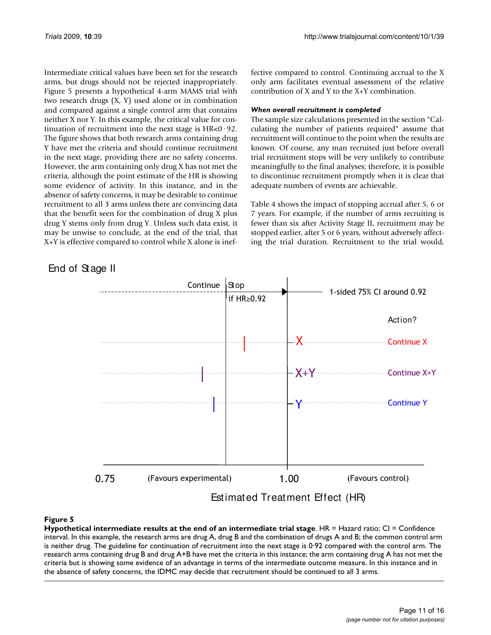Intermediate critical values have been set for the research arms, but drugs should not be rejected inappropriately. Figure [5](#page-10-0) presents a hypothetical 4-arm MAMS trial with two research drugs (X, Y) used alone or in combination and compared against a single control arm that contains neither X nor Y. In this example, the critical value for continuation of recruitment into the next stage is  $HR<0.92$ . The figure shows that both research arms containing drug Y have met the criteria and should continue recruitment in the next stage, providing there are no safety concerns. However, the arm containing only drug X has not met the criteria, although the point estimate of the HR is showing some evidence of activity. In this instance, and in the absence of safety concerns, it may be desirable to continue recruitment to all 3 arms unless there are convincing data that the benefit seen for the combination of drug X plus drug Y stems only from drug Y. Unless such data exist, it may be unwise to conclude, at the end of the trial, that X+Y is effective compared to control while X alone is inef-

<span id="page-10-0"></span>End of Stage II

fective compared to control. Continuing accrual to the X only arm facilitates eventual assessment of the relative contribution of X and Y to the X+Y combination.

### *When overall recruitment is completed*

The sample size calculations presented in the section "Calculating the number of patients required" assume that recruitment will continue to the point when the results are known. Of course, any man recruited just before overall trial recruitment stops will be very unlikely to contribute meaningfully to the final analyses; therefore, it is possible to discontinue recruitment promptly when it is clear that adequate numbers of events are achievable.

Table [4](#page-11-0) shows the impact of stopping accrual after 5, 6 or 7 years. For example, if the number of arms recruiting is fewer than six after Activity Stage II, recruitment may be stopped earlier, after 5 or 6 years, without adversely affecting the trial duration. Recruitment to the trial would,



### Hypothetical intermediate results at **Figure 5** the end of an intermediate trial stage

**Hypothetical intermediate results at the end of an intermediate trial stage**. HR = Hazard ratio; CI = Confidence interval. In this example, the research arms are drug A, drug B and the combination of drugs A and B; the common control arm is neither drug. The guideline for continuation of recruitment into the next stage is 0·92 compared with the control arm. The research arms containing drug B and drug A+B have met the criteria in this instance; the arm containing drug A has not met the criteria but is showing some evidence of an advantage in terms of the intermediate outcome measure. In this instance and in the absence of safety concerns, the IDMC may decide that recruitment should be continued to all 3 arms.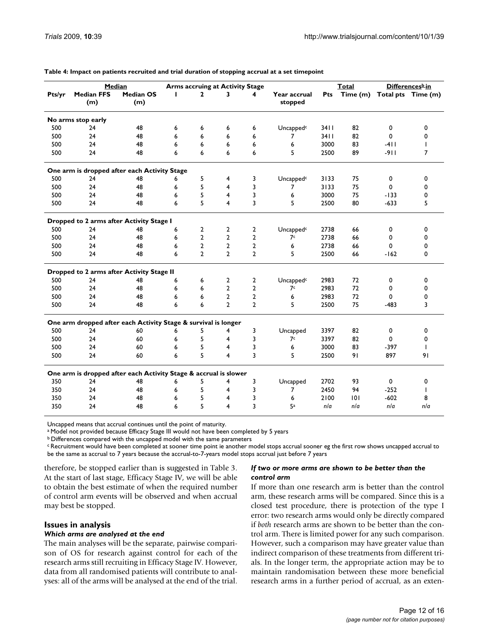|        | Median                                                           |                         | <b>Arms accruing at Activity Stage</b> |                |                |                         |                         |            | <b>Total</b> | Differences <sup>b</sup> in |                             |
|--------|------------------------------------------------------------------|-------------------------|----------------------------------------|----------------|----------------|-------------------------|-------------------------|------------|--------------|-----------------------------|-----------------------------|
| Pts/yr | <b>Median FFS</b><br>(m)                                         | <b>Median OS</b><br>(m) |                                        | $\mathbf{2}$   | 3              | 4                       | Year accrual<br>stopped | <b>Pts</b> |              |                             | Time (m) Total pts Time (m) |
|        | No arms stop early                                               |                         |                                        |                |                |                         |                         |            |              |                             |                             |
| 500    | 24                                                               | 48                      | 6                                      | 6              | 6              | 6                       | Uncapped <sup>c</sup>   | 3411       | 82           | 0                           | 0                           |
| 500    | 24                                                               | 48                      | 6                                      | 6              | 6              | 6                       | 7                       | 3411       | 82           | 0                           | 0                           |
| 500    | 24                                                               | 48                      | 6                                      | 6              | 6              | 6                       | 6                       | 3000       | 83           | $-411$                      | $\mathbf{I}$                |
| 500    | 24                                                               | 48                      | 6                                      | 6              | 6              | 6                       | 5                       | 2500       | 89           | $-911$                      | $\overline{7}$              |
|        | One arm is dropped after each Activity Stage                     |                         |                                        |                |                |                         |                         |            |              |                             |                             |
| 500    | 24                                                               | 48                      | 6                                      | 5              | 4              | 3                       | Uncapped <sup>c</sup>   | 3133       | 75           | 0                           | 0                           |
| 500    | 24                                                               | 48                      | 6                                      | 5              | 4              | 3                       | 7                       | 3133       | 75           | 0                           | 0                           |
| 500    | 24                                                               | 48                      | 6                                      | 5              | 4              | 3                       | 6                       | 3000       | 75           | $-133$                      | 0                           |
| 500    | 24                                                               | 48                      | 6                                      | 5              | 4              | 3                       | 5                       | 2500       | 80           | $-633$                      | 5                           |
|        | Dropped to 2 arms after Activity Stage I                         |                         |                                        |                |                |                         |                         |            |              |                             |                             |
| 500    | 24                                                               | 48                      | 6                                      | $\overline{2}$ | $\overline{2}$ | $\overline{2}$          | Uncapped <sup>c</sup>   | 2738       | 66           | 0                           | 0                           |
| 500    | 24                                                               | 48                      | 6                                      | $\overline{2}$ | $\overline{2}$ | $\overline{2}$          | 7с                      | 2738       | 66           | 0                           | 0                           |
| 500    | 24                                                               | 48                      | 6                                      | $\overline{2}$ | 2              | $\overline{2}$          | 6                       | 2738       | 66           | 0                           | 0                           |
| 500    | 24                                                               | 48                      | 6                                      | $\overline{2}$ | $\overline{2}$ | $\overline{2}$          | 5                       | 2500       | 66           | $-162$                      | 0                           |
|        | Dropped to 2 arms after Activity Stage II                        |                         |                                        |                |                |                         |                         |            |              |                             |                             |
| 500    | 24                                                               | 48                      | 6                                      | 6              | 2              | 2                       | Uncapped <sup>c</sup>   | 2983       | 72           | 0                           | 0                           |
| 500    | 24                                                               | 48                      | 6                                      | 6              | 2              | $\overline{2}$          | 7с                      | 2983       | 72           | 0                           | 0                           |
| 500    | 24                                                               | 48                      | 6                                      | 6              | $\overline{2}$ | $\overline{2}$          | 6                       | 2983       | 72           | 0                           | 0                           |
| 500    | 24                                                               | 48                      | 6                                      | 6              | $\overline{2}$ | $\overline{2}$          | 5                       | 2500       | 75           | $-483$                      | 3                           |
|        | One arm dropped after each Activity Stage & survival is longer   |                         |                                        |                |                |                         |                         |            |              |                             |                             |
| 500    | 24                                                               | 60                      | 6                                      | 5              | 4              | 3                       | Uncapped                | 3397       | 82           | 0                           | 0                           |
| 500    | 24                                                               | 60                      | 6                                      | 5              | 4              | 3                       | 7с                      | 3397       | 82           | 0                           | 0                           |
| 500    | 24                                                               | 60                      | 6                                      | 5              | 4              | 3                       | 6                       | 3000       | 83           | $-397$                      | $\mathbf{I}$                |
| 500    | 24                                                               | 60                      | 6                                      | 5              | 4              | 3                       | 5                       | 2500       | 91           | 897                         | 91                          |
|        | One arm is dropped after each Activity Stage & accrual is slower |                         |                                        |                |                |                         |                         |            |              |                             |                             |
| 350    | 24                                                               | 48                      | 6                                      | 5              | 4              | 3                       | Uncapped                | 2702       | 93           | 0                           | 0                           |
| 350    | 24                                                               | 48                      | 6                                      | 5              | 4              | 3                       | 7                       | 2450       | 94           | $-252$                      | I.                          |
| 350    | 24                                                               | 48                      | 6                                      | 5              | 4              | 3                       | 6                       | 2100       | 101          | $-602$                      | 8                           |
| 350    | 24                                                               | 48                      | 6                                      | 5              | 4              | $\overline{\mathbf{3}}$ | 5а                      | n/a        | nla          | n/a                         | n/a                         |

<span id="page-11-0"></span>**Table 4: Impact on patients recruited and trial duration of stopping accrual at a set timepoint**

Uncapped means that accrual continues until the point of maturity.

a Model not provided because Efficacy Stage III would not have been completed by 5 years

**b Differences compared with the uncapped model with the same parameters** 

c Recruitment would have been completed at sooner time point ie another model stops accrual sooner eg the first row shows uncapped accrual to be the same as accrual to 7 years because the accrual-to-7-years model stops accrual just before 7 years

therefore, be stopped earlier than is suggested in Table [3.](#page-9-0) At the start of last stage, Efficacy Stage IV, we will be able to obtain the best estimate of when the required number of control arm events will be observed and when accrual may best be stopped.

### **Issues in analysis**

### *Which arms are analysed at the end*

The main analyses will be the separate, pairwise comparison of OS for research against control for each of the research arms still recruiting in Efficacy Stage IV. However, data from all randomised patients will contribute to analyses: all of the arms will be analysed at the end of the trial.

### *If two or more arms are shown to be better than the control arm*

If more than one research arm is better than the control arm, these research arms will be compared. Since this is a closed test procedure, there is protection of the type I error: two research arms would only be directly compared if *both* research arms are shown to be better than the control arm. There is limited power for any such comparison. However, such a comparison may have greater value than indirect comparison of these treatments from different trials. In the longer term, the appropriate action may be to maintain randomisation between these more beneficial research arms in a further period of accrual, as an exten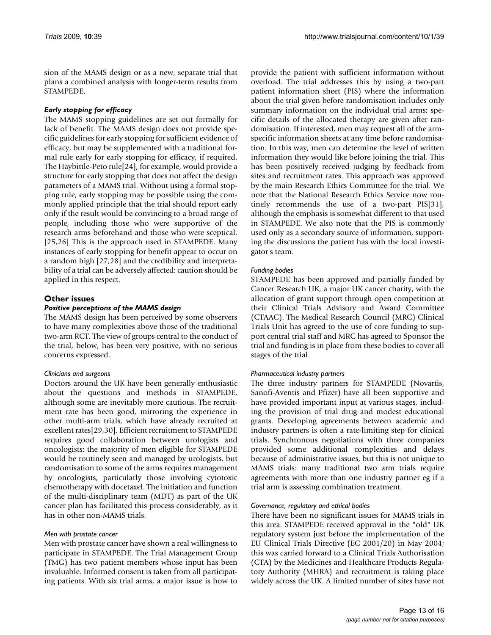sion of the MAMS design or as a new, separate trial that plans a combined analysis with longer-term results from STAMPEDE.

### *Early stopping for efficacy*

The MAMS stopping guidelines are set out formally for lack of benefit. The MAMS design does not provide specific guidelines for early stopping for sufficient evidence of efficacy, but may be supplemented with a traditional formal rule early for early stopping for efficacy, if required. The Haybittle-Peto rule[\[24](#page-14-20)], for example, would provide a structure for early stopping that does not affect the design parameters of a MAMS trial. Without using a formal stopping rule, early stopping may be possible using the commonly applied principle that the trial should report early only if the result would be convincing to a broad range of people, including those who were supportive of the research arms beforehand and those who were sceptical. [[25](#page-15-0),[26\]](#page-15-1) This is the approach used in STAMPEDE. Many instances of early stopping for benefit appear to occur on a random high [[27,](#page-15-2)[28\]](#page-15-3) and the credibility and interpretability of a trial can be adversely affected: caution should be applied in this respect.

## **Other issues**

### *Positive perceptions of the MAMS design*

The MAMS design has been perceived by some observers to have many complexities above those of the traditional two-arm RCT. The view of groups central to the conduct of the trial, below, has been very positive, with no serious concerns expressed.

### *Clinicians and surgeons*

Doctors around the UK have been generally enthusiastic about the questions and methods in STAMPEDE, although some are inevitably more cautious. The recruitment rate has been good, mirroring the experience in other multi-arm trials, which have already recruited at excellent rates[[29,](#page-15-4)[30\]](#page-15-5). Efficient recruitment to STAMPEDE requires good collaboration between urologists and oncologists: the majority of men eligible for STAMPEDE would be routinely seen and managed by urologists, but randomisation to some of the arms requires management by oncologists, particularly those involving cytotoxic chemotherapy with docetaxel. The initiation and function of the multi-disciplinary team (MDT) as part of the UK cancer plan has facilitated this process considerably, as it has in other non-MAMS trials.

### *Men with prostate cancer*

Men with prostate cancer have shown a real willingness to participate in STAMPEDE. The Trial Management Group (TMG) has two patient members whose input has been invaluable. Informed consent is taken from all participating patients. With six trial arms, a major issue is how to provide the patient with sufficient information without overload. The trial addresses this by using a two-part patient information sheet (PIS) where the information about the trial given before randomisation includes only summary information on the individual trial arms; specific details of the allocated therapy are given after randomisation. If interested, men may request all of the armspecific information sheets at any time before randomisation. In this way, men can determine the level of written information they would like before joining the trial. This has been positively received judging by feedback from sites and recruitment rates. This approach was approved by the main Research Ethics Committee for the trial. We note that the National Research Ethics Service now routinely recommends the use of a two-part PIS[\[31](#page-15-6)], although the emphasis is somewhat different to that used in STAMPEDE. We also note that the PIS is commonly used only as a secondary source of information, supporting the discussions the patient has with the local investigator's team.

### *Funding bodies*

STAMPEDE has been approved and partially funded by Cancer Research UK, a major UK cancer charity, with the allocation of grant support through open competition at their Clinical Trials Advisory and Award Committee (CTAAC). The Medical Research Council (MRC) Clinical Trials Unit has agreed to the use of core funding to support central trial staff and MRC has agreed to Sponsor the trial and funding is in place from these bodies to cover all stages of the trial.

### *Pharmaceutical industry partners*

The three industry partners for STAMPEDE (Novartis, Sanofi-Aventis and Pfizer) have all been supportive and have provided important input at various stages, including the provision of trial drug and modest educational grants. Developing agreements between academic and industry partners is often a rate-limiting step for clinical trials. Synchronous negotiations with three companies provided some additional complexities and delays because of administrative issues, but this is not unique to MAMS trials: many traditional two arm trials require agreements with more than one industry partner eg if a trial arm is assessing combination treatment.

### *Governance, regulatory and ethical bodies*

There have been no significant issues for MAMS trials in this area. STAMPEDE received approval in the "old" UK regulatory system just before the implementation of the EU Clinical Trials Directive (EC 2001/20) in May 2004; this was carried forward to a Clinical Trials Authorisation (CTA) by the Medicines and Healthcare Products Regulatory Authority (MHRA) and recruitment is taking place widely across the UK. A limited number of sites have not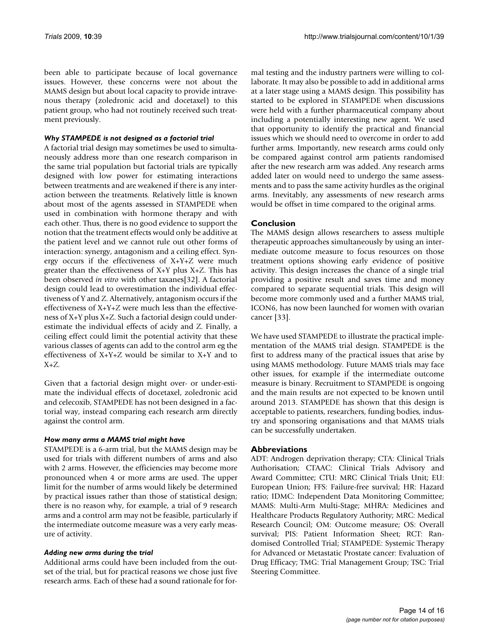been able to participate because of local governance issues. However, these concerns were not about the MAMS design but about local capacity to provide intravenous therapy (zoledronic acid and docetaxel) to this patient group, who had not routinely received such treatment previously.

### *Why STAMPEDE is not designed as a factorial trial*

A factorial trial design may sometimes be used to simultaneously address more than one research comparison in the same trial population but factorial trials are typically designed with low power for estimating interactions between treatments and are weakened if there is any interaction between the treatments. Relatively little is known about most of the agents assessed in STAMPEDE when used in combination with hormone therapy and with each other. Thus, there is no good evidence to support the notion that the treatment effects would only be additive at the patient level and we cannot rule out other forms of interaction: synergy, antagonism and a ceiling effect. Synergy occurs if the effectiveness of X+Y+Z were much greater than the effectiveness of X+Y plus X+Z. This has been observed *in vitro* with other taxanes[[32\]](#page-15-7). A factorial design could lead to overestimation the individual effectiveness of Y and Z. Alternatively, antagonism occurs if the effectiveness of X+Y+Z were much less than the effectiveness of X+Y plus X+Z. Such a factorial design could underestimate the individual effects of acidy and Z. Finally, a ceiling effect could limit the potential activity that these various classes of agents can add to the control arm eg the effectiveness of X+Y+Z would be similar to X+Y and to  $X+Z$ .

Given that a factorial design might over- or under-estimate the individual effects of docetaxel, zoledronic acid and celecoxib, STAMPEDE has not been designed in a factorial way, instead comparing each research arm directly against the control arm.

### *How many arms a MAMS trial might have*

STAMPEDE is a 6-arm trial, but the MAMS design may be used for trials with different numbers of arms and also with 2 arms. However, the efficiencies may become more pronounced when 4 or more arms are used. The upper limit for the number of arms would likely be determined by practical issues rather than those of statistical design; there is no reason why, for example, a trial of 9 research arms and a control arm may not be feasible, particularly if the intermediate outcome measure was a very early measure of activity.

### *Adding new arms during the trial*

Additional arms could have been included from the outset of the trial, but for practical reasons we chose just five research arms. Each of these had a sound rationale for formal testing and the industry partners were willing to collaborate. It may also be possible to add in additional arms at a later stage using a MAMS design. This possibility has started to be explored in STAMPEDE when discussions were held with a further pharmaceutical company about including a potentially interesting new agent. We used that opportunity to identify the practical and financial issues which we should need to overcome in order to add further arms. Importantly, new research arms could only be compared against control arm patients randomised after the new research arm was added. Any research arms added later on would need to undergo the same assessments and to pass the same activity hurdles as the original arms. Inevitably, any assessments of new research arms would be offset in time compared to the original arms.

### **Conclusion**

The MAMS design allows researchers to assess multiple therapeutic approaches simultaneously by using an intermediate outcome measure to focus resources on those treatment options showing early evidence of positive activity. This design increases the chance of a single trial providing a positive result and saves time and money compared to separate sequential trials. This design will become more commonly used and a further MAMS trial, ICON6, has now been launched for women with ovarian cancer [[33\]](#page-15-8).

We have used STAMPEDE to illustrate the practical implementation of the MAMS trial design. STAMPEDE is the first to address many of the practical issues that arise by using MAMS methodology. Future MAMS trials may face other issues, for example if the intermediate outcome measure is binary. Recruitment to STAMPEDE is ongoing and the main results are not expected to be known until around 2013. STAMPEDE has shown that this design is acceptable to patients, researchers, funding bodies, industry and sponsoring organisations and that MAMS trials can be successfully undertaken.

### **Abbreviations**

ADT: Androgen deprivation therapy; CTA: Clinical Trials Authorisation; CTAAC: Clinical Trials Advisory and Award Committee; CTU: MRC Clinical Trials Unit; EU: European Union; FFS: Failure-free survival; HR: Hazard ratio; IDMC: Independent Data Monitoring Committee; MAMS: Multi-Arm Multi-Stage; MHRA: Medicines and Healthcare Products Regulatory Authority; MRC: Medical Research Council; OM: Outcome measure; OS: Overall survival; PIS: Patient Information Sheet; RCT: Randomised Controlled Trial; STAMPEDE: Systemic Therapy for Advanced or Metastatic Prostate cancer: Evaluation of Drug Efficacy; TMG: Trial Management Group; TSC: Trial Steering Committee.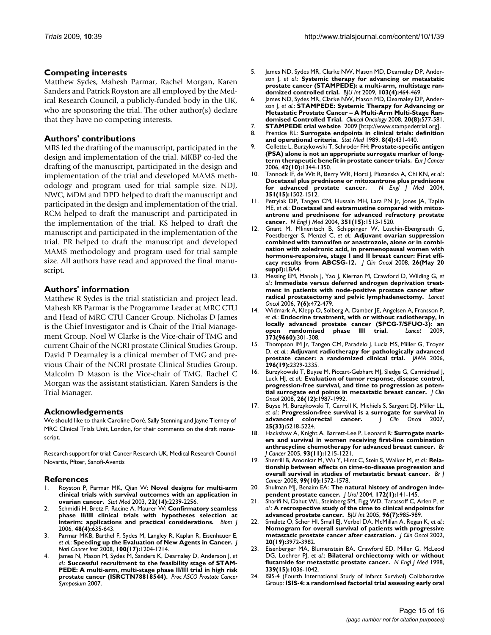### **Competing interests**

Matthew Sydes, Mahesh Parmar, Rachel Morgan, Karen Sanders and Patrick Royston are all employed by the Medical Research Council, a publicly-funded body in the UK, who are sponsoring the trial. The other author(s) declare that they have no competing interests.

### **Authors' contributions**

MRS led the drafting of the manuscript, participated in the design and implementation of the trial. MKBP co-led the drafting of the manuscript, participated in the design and implementation of the trial and developed MAMS methodology and program used for trial sample size. NDJ, NWC, MDM and DPD helped to draft the manuscript and participated in the design and implementation of the trial. RCM helped to draft the manuscript and participated in the implementation of the trial. KS helped to draft the manuscript and participated in the implementation of the trial. PR helped to draft the manuscript and developed MAMS methodology and program used for trial sample size. All authors have read and approved the final manuscript.

### **Authors' information**

Matthew R Sydes is the trial statistician and project lead. Mahesh KB Parmar is the Programme Leader at MRC CTU and Head of MRC CTU Cancer Group. Nicholas D James is the Chief Investigator and is Chair of the Trial Management Group. Noel W Clarke is the Vice-chair of TMG and current Chair of the NCRI prostate Clinical Studies Group. David P Dearnaley is a clinical member of TMG and previous Chair of the NCRI prostate Clinical Studies Group. Malcolm D Mason is the Vice-chair of TMG. Rachel C Morgan was the assistant statistician. Karen Sanders is the Trial Manager.

### **Acknowledgements**

We should like to thank Caroline Doré, Sally Stenning and Jayne Tierney of MRC Clinical Trials Unit, London, for their comments on the draft manuscript.

Research support for trial: Cancer Research UK, Medical Research Council Novartis, Pfizer, Sanofi-Aventis

### **References**

- <span id="page-14-0"></span>1. Royston P, Parmar MK, Qian W: **[Novel designs for multi-arm](http://www.ncbi.nlm.nih.gov/entrez/query.fcgi?cmd=Retrieve&db=PubMed&dopt=Abstract&list_uids=12854091) [clinical trials with survival outcomes with an application in](http://www.ncbi.nlm.nih.gov/entrez/query.fcgi?cmd=Retrieve&db=PubMed&dopt=Abstract&list_uids=12854091) [ovarian cancer.](http://www.ncbi.nlm.nih.gov/entrez/query.fcgi?cmd=Retrieve&db=PubMed&dopt=Abstract&list_uids=12854091)** *Stat Med* 2003, **22(14):**2239-2256.
- <span id="page-14-1"></span>2. Schmidli H, Bretz F, Racine A, Maurer W: **[Confirmatory seamless](http://www.ncbi.nlm.nih.gov/entrez/query.fcgi?cmd=Retrieve&db=PubMed&dopt=Abstract&list_uids=16972715) [phase II/III clinical trials with hypotheses selection at](http://www.ncbi.nlm.nih.gov/entrez/query.fcgi?cmd=Retrieve&db=PubMed&dopt=Abstract&list_uids=16972715) [interim: applications and practical considerations.](http://www.ncbi.nlm.nih.gov/entrez/query.fcgi?cmd=Retrieve&db=PubMed&dopt=Abstract&list_uids=16972715)** *Biom J* 2006, **48(4):**635-643.
- <span id="page-14-2"></span>Parmar MKB, Barthel F, Sydes M, Langley R, Kaplan R, Eisenhauer E, *et al.*: **[Speeding up the Evaluation of New Agents in Cancer.](http://www.ncbi.nlm.nih.gov/entrez/query.fcgi?cmd=Retrieve&db=PubMed&dopt=Abstract&list_uids=18728279)** *J Natl Cancer Inst* 2008, **100(17):**1204-1214.
- <span id="page-14-3"></span>4. James N, Mason M, Sydes M, Sanders K, Dearnaley D, Anderson J, *et al.*: **Successful recruitment to the feasibility stage of STAM-PEDE: A multi-arm, multi-stage phase II/III trial in high risk prostate cancer (ISRCTN78818544).** *Proc ASCO Prostate Cancer Symposium* 2007.
- 5. James ND, Sydes MR, Clarke NW, Mason MD, Dearnaley DP, Anderson J, *et al.*: **[Systemic therapy for advancing or metastatic](http://www.ncbi.nlm.nih.gov/entrez/query.fcgi?cmd=Retrieve&db=PubMed&dopt=Abstract&list_uids=18990168) [prostate cancer \(STAMPEDE\): a multi-arm, multistage ran](http://www.ncbi.nlm.nih.gov/entrez/query.fcgi?cmd=Retrieve&db=PubMed&dopt=Abstract&list_uids=18990168)[domized controlled trial.](http://www.ncbi.nlm.nih.gov/entrez/query.fcgi?cmd=Retrieve&db=PubMed&dopt=Abstract&list_uids=18990168)** *BJU Int* 2009, **103(4):**464-469.
- <span id="page-14-4"></span>6. James ND, Sydes MR, Clarke NW, Mason MD, Dearnaley DP, Anderson J, *et al.*: **[STAMPEDE: Systemic Therapy for Advancing or](http://www.ncbi.nlm.nih.gov/entrez/query.fcgi?cmd=Retrieve&db=PubMed&dopt=Abstract&list_uids=18760574) [Metastatic Prostate Cancer – A Multi-Arm Multi-Stage Ran](http://www.ncbi.nlm.nih.gov/entrez/query.fcgi?cmd=Retrieve&db=PubMed&dopt=Abstract&list_uids=18760574)[domised Controlled Trial.](http://www.ncbi.nlm.nih.gov/entrez/query.fcgi?cmd=Retrieve&db=PubMed&dopt=Abstract&list_uids=18760574)** *Clinical Oncology* 2008, **20(8):**577-581.
- <span id="page-14-5"></span>7. **STAMPEDE trial website** 2009 [[http://www.stampedetrial.org\]](http://www.stampedetrial.org).
- <span id="page-14-6"></span>8. Prentice RL: **[Surrogate endpoints in clinical trials: definition](http://www.ncbi.nlm.nih.gov/entrez/query.fcgi?cmd=Retrieve&db=PubMed&dopt=Abstract&list_uids=2727467) [and operational criteria.](http://www.ncbi.nlm.nih.gov/entrez/query.fcgi?cmd=Retrieve&db=PubMed&dopt=Abstract&list_uids=2727467)** *Stat Med* 1989, **8(4):**431-440.
- <span id="page-14-7"></span>9. Collette L, Burzykowski T, Schroder FH: **[Prostate-specific antigen](http://www.ncbi.nlm.nih.gov/entrez/query.fcgi?cmd=Retrieve&db=PubMed&dopt=Abstract&list_uids=16730974) [\(PSA\) alone is not an appropriate surrogate marker of long](http://www.ncbi.nlm.nih.gov/entrez/query.fcgi?cmd=Retrieve&db=PubMed&dopt=Abstract&list_uids=16730974)[term therapeutic benefit in prostate cancer trials.](http://www.ncbi.nlm.nih.gov/entrez/query.fcgi?cmd=Retrieve&db=PubMed&dopt=Abstract&list_uids=16730974)** *Eur J Cancer* 2006, **42(10):**1344-1350.
- <span id="page-14-8"></span>10. Tannock IF, de Wit R, Berry WR, Horti J, Pluzanska A, Chi KN, *et al.*: **[Docetaxel plus prednisone or mitoxantrone plus prednisone](http://www.ncbi.nlm.nih.gov/entrez/query.fcgi?cmd=Retrieve&db=PubMed&dopt=Abstract&list_uids=15470213) for advanced prostate cancer.** N Engl | Med 2004, [for advanced prostate cancer.](http://www.ncbi.nlm.nih.gov/entrez/query.fcgi?cmd=Retrieve&db=PubMed&dopt=Abstract&list_uids=15470213) **351(15):**1502-1512.
- <span id="page-14-9"></span>11. Petrylak DP, Tangen CM, Hussain MH, Lara PN Jr, Jones JA, Taplin ME, *et al.*: **[Docetaxel and estramustine compared with mitox](http://www.ncbi.nlm.nih.gov/entrez/query.fcgi?cmd=Retrieve&db=PubMed&dopt=Abstract&list_uids=15470214)[antrone and prednisone for advanced refractory prostate](http://www.ncbi.nlm.nih.gov/entrez/query.fcgi?cmd=Retrieve&db=PubMed&dopt=Abstract&list_uids=15470214) [cancer.](http://www.ncbi.nlm.nih.gov/entrez/query.fcgi?cmd=Retrieve&db=PubMed&dopt=Abstract&list_uids=15470214)** *N Engl J Med* 2004, **351(15):**1513-1520.
- <span id="page-14-10"></span>12. Gnant M, Mlineritsch B, Schippinger W, Luschin-Ebengreuth G, Poestlberger S, Menzel C, *et al.*: **Adjuvant ovarian suppression combined with tamoxifen or anastrozole, alone or in combination with zoledronic acid, in premenopausal women with hormone-responsive, stage I and II breast cancer: First efficacy results from ABCSG-12.** *J Clin Oncol* 2008, **26(May 20 suppl):**LBA4.
- <span id="page-14-11"></span>13. Messing EM, Manola J, Yao J, Kiernan M, Crawford D, Wilding G, *et al.*: **[Immediate versus deferred androgen deprivation treat](http://www.ncbi.nlm.nih.gov/entrez/query.fcgi?cmd=Retrieve&db=PubMed&dopt=Abstract&list_uids=16750497)[ment in patients with node-positive prostate cancer after](http://www.ncbi.nlm.nih.gov/entrez/query.fcgi?cmd=Retrieve&db=PubMed&dopt=Abstract&list_uids=16750497) [radical prostatectomy and pelvic lymphadenectomy.](http://www.ncbi.nlm.nih.gov/entrez/query.fcgi?cmd=Retrieve&db=PubMed&dopt=Abstract&list_uids=16750497)** *Lancet Oncol* 2006, **7(6):**472-479.
- <span id="page-14-12"></span>14. Widmark A, Klepp O, Solberg A, Damber JE, Angelsen A, Fransson P, *et al.*: **[Endocrine treatment, with or without radiotherapy, in](http://www.ncbi.nlm.nih.gov/entrez/query.fcgi?cmd=Retrieve&db=PubMed&dopt=Abstract&list_uids=19091394) locally advanced prostate cancer (SPCG-7/SFUO-3):** an open randomised phase III trial. Lancet 2009, [open randomised phase III trial.](http://www.ncbi.nlm.nih.gov/entrez/query.fcgi?cmd=Retrieve&db=PubMed&dopt=Abstract&list_uids=19091394) **373(9660):**301-308.
- <span id="page-14-13"></span>15. Thompson IM Jr, Tangen CM, Paradelo J, Lucia MS, Miller G, Troyer D, *et al.*: **[Adjuvant radiotherapy for pathologically advanced](http://www.ncbi.nlm.nih.gov/entrez/query.fcgi?cmd=Retrieve&db=PubMed&dopt=Abstract&list_uids=17105795) [prostate cancer: a randomized clinical trial.](http://www.ncbi.nlm.nih.gov/entrez/query.fcgi?cmd=Retrieve&db=PubMed&dopt=Abstract&list_uids=17105795)** *JAMA* 2006, **296(19):**2329-2335.
- <span id="page-14-14"></span>16. Burzykowski T, Buyse M, Piccart-Gebhart MJ, Sledge G, Carmichael J, Luck HJ, *et al.*: **[Evaluation of tumor response, disease control,](http://www.ncbi.nlm.nih.gov/entrez/query.fcgi?cmd=Retrieve&db=PubMed&dopt=Abstract&list_uids=18421050) [progression-free survival, and time to progression as poten](http://www.ncbi.nlm.nih.gov/entrez/query.fcgi?cmd=Retrieve&db=PubMed&dopt=Abstract&list_uids=18421050)[tial surrogate end points in metastatic breast cancer.](http://www.ncbi.nlm.nih.gov/entrez/query.fcgi?cmd=Retrieve&db=PubMed&dopt=Abstract&list_uids=18421050)** *J Clin Oncol* 2008, **26(12):**1987-1992.
- 17. Buyse M, Burzykowski T, Carroll K, Michiels S, Sargent DJ, Miller LL, *et al.*: **[Progression-free survival is a surrogate for survival in](http://www.ncbi.nlm.nih.gov/entrez/query.fcgi?cmd=Retrieve&db=PubMed&dopt=Abstract&list_uids=18024867) [advanced colorectal cancer.](http://www.ncbi.nlm.nih.gov/entrez/query.fcgi?cmd=Retrieve&db=PubMed&dopt=Abstract&list_uids=18024867)** *J Clin Oncol* 2007, **25(33):**5218-5224.
- 18. Hackshaw A, Knight A, Barrett-Lee P, Leonard R: **[Surrogate mark](http://www.ncbi.nlm.nih.gov/entrez/query.fcgi?cmd=Retrieve&db=PubMed&dopt=Abstract&list_uids=16278665)[ers and survival in women receiving first-line combination](http://www.ncbi.nlm.nih.gov/entrez/query.fcgi?cmd=Retrieve&db=PubMed&dopt=Abstract&list_uids=16278665) [anthracycline chemotherapy for advanced breast cancer.](http://www.ncbi.nlm.nih.gov/entrez/query.fcgi?cmd=Retrieve&db=PubMed&dopt=Abstract&list_uids=16278665)** *Br J Cancer* 2005, **93(11):**1215-1221.
- <span id="page-14-15"></span>19. Sherrill B, Amonkar M, Wu Y, Hirst C, Stein S, Walker M, *et al.*: **[Rela](http://www.ncbi.nlm.nih.gov/entrez/query.fcgi?cmd=Retrieve&db=PubMed&dopt=Abstract&list_uids=19002178)[tionship between effects on time-to-disease progression and](http://www.ncbi.nlm.nih.gov/entrez/query.fcgi?cmd=Retrieve&db=PubMed&dopt=Abstract&list_uids=19002178) [overall survival in studies of metastatic breast cancer.](http://www.ncbi.nlm.nih.gov/entrez/query.fcgi?cmd=Retrieve&db=PubMed&dopt=Abstract&list_uids=19002178)** *Br J Cancer* 2008, **99(10):**1572-1578.
- <span id="page-14-16"></span>20. Shulman MJ, Benaim EA: **[The natural history of androgen inde](http://www.ncbi.nlm.nih.gov/entrez/query.fcgi?cmd=Retrieve&db=PubMed&dopt=Abstract&list_uids=15201755)[pendent prostate cancer.](http://www.ncbi.nlm.nih.gov/entrez/query.fcgi?cmd=Retrieve&db=PubMed&dopt=Abstract&list_uids=15201755)** *J Urol* 2004, **172(1):**141-145.
- <span id="page-14-17"></span>21. Sharifi N, Dahut WL, Steinberg SM, Figg WD, Tarassoff C, Arlen P, *et al.*: **[A retrospective study of the time to clinical endpoints for](http://www.ncbi.nlm.nih.gov/entrez/query.fcgi?cmd=Retrieve&db=PubMed&dopt=Abstract&list_uids=16225513) [advanced prostate cancer.](http://www.ncbi.nlm.nih.gov/entrez/query.fcgi?cmd=Retrieve&db=PubMed&dopt=Abstract&list_uids=16225513)** *BJU Int* 2005, **96(7):**985-989.
- <span id="page-14-18"></span>22. Smaletz O, Scher HI, Small EJ, Verbel DA, McMillan A, Regan K, *et al.*: **[Nomogram for overall survival of patients with progressive](http://www.ncbi.nlm.nih.gov/entrez/query.fcgi?cmd=Retrieve&db=PubMed&dopt=Abstract&list_uids=12351594) [metastatic prostate cancer after castration.](http://www.ncbi.nlm.nih.gov/entrez/query.fcgi?cmd=Retrieve&db=PubMed&dopt=Abstract&list_uids=12351594)** *J Clin Oncol* 2002, **20(19):**3972-3982.
- <span id="page-14-19"></span>23. Eisenberger MA, Blumenstein BA, Crawford ED, Miller G, McLeod DG, Loehrer PJ, *et al.*: **[Bilateral orchiectomy with or without](http://www.ncbi.nlm.nih.gov/entrez/query.fcgi?cmd=Retrieve&db=PubMed&dopt=Abstract&list_uids=9761805) [flutamide for metastatic prostate cancer.](http://www.ncbi.nlm.nih.gov/entrez/query.fcgi?cmd=Retrieve&db=PubMed&dopt=Abstract&list_uids=9761805)** *N Engl J Med* 1998, **339(15):**1036-1042.
- <span id="page-14-20"></span>24. ISIS-4 (Fourth International Study of Infarct Survival) Collaborative Group: **[ISIS-4: a randomised factorial trial assessing early oral](http://www.ncbi.nlm.nih.gov/entrez/query.fcgi?cmd=Retrieve&db=PubMed&dopt=Abstract&list_uids=7661937)**